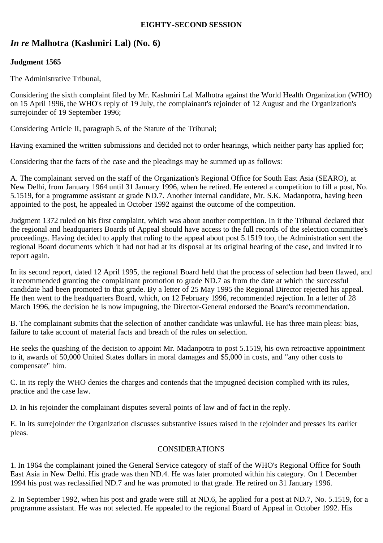### **EIGHTY-SECOND SESSION**

# *In re* **Malhotra (Kashmiri Lal) (No. 6)**

## **Judgment 1565**

The Administrative Tribunal,

Considering the sixth complaint filed by Mr. Kashmiri Lal Malhotra against the World Health Organization (WHO) on 15 April 1996, the WHO's reply of 19 July, the complainant's rejoinder of 12 August and the Organization's surrejoinder of 19 September 1996;

Considering Article II, paragraph 5, of the Statute of the Tribunal;

Having examined the written submissions and decided not to order hearings, which neither party has applied for;

Considering that the facts of the case and the pleadings may be summed up as follows:

A. The complainant served on the staff of the Organization's Regional Office for South East Asia (SEARO), at New Delhi, from January 1964 until 31 January 1996, when he retired. He entered a competition to fill a post, No. 5.1519, for a programme assistant at grade ND.7. Another internal candidate, Mr. S.K. Madanpotra, having been appointed to the post, he appealed in October 1992 against the outcome of the competition.

Judgment 1372 ruled on his first complaint, which was about another competition. In it the Tribunal declared that the regional and headquarters Boards of Appeal should have access to the full records of the selection committee's proceedings. Having decided to apply that ruling to the appeal about post 5.1519 too, the Administration sent the regional Board documents which it had not had at its disposal at its original hearing of the case, and invited it to report again.

In its second report, dated 12 April 1995, the regional Board held that the process of selection had been flawed, and it recommended granting the complainant promotion to grade ND.7 as from the date at which the successful candidate had been promoted to that grade. By a letter of 25 May 1995 the Regional Director rejected his appeal. He then went to the headquarters Board, which, on 12 February 1996, recommended rejection. In a letter of 28 March 1996, the decision he is now impugning, the Director-General endorsed the Board's recommendation.

B. The complainant submits that the selection of another candidate was unlawful. He has three main pleas: bias, failure to take account of material facts and breach of the rules on selection.

He seeks the quashing of the decision to appoint Mr. Madanpotra to post 5.1519, his own retroactive appointment to it, awards of 50,000 United States dollars in moral damages and \$5,000 in costs, and "any other costs to compensate" him.

C. In its reply the WHO denies the charges and contends that the impugned decision complied with its rules, practice and the case law.

D. In his rejoinder the complainant disputes several points of law and of fact in the reply.

E. In its surrejoinder the Organization discusses substantive issues raised in the rejoinder and presses its earlier pleas.

#### CONSIDERATIONS

1. In 1964 the complainant joined the General Service category of staff of the WHO's Regional Office for South East Asia in New Delhi. His grade was then ND.4. He was later promoted within his category. On 1 December 1994 his post was reclassified ND.7 and he was promoted to that grade. He retired on 31 January 1996.

2. In September 1992, when his post and grade were still at ND.6, he applied for a post at ND.7, No. 5.1519, for a programme assistant. He was not selected. He appealed to the regional Board of Appeal in October 1992. His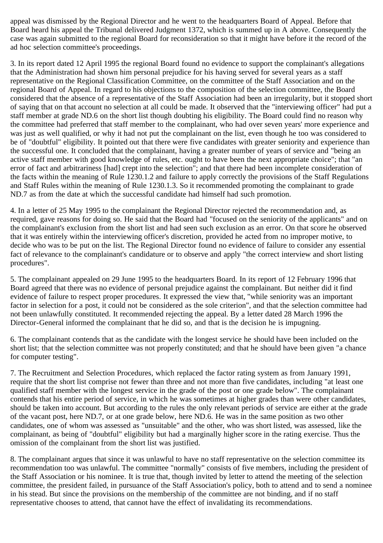appeal was dismissed by the Regional Director and he went to the headquarters Board of Appeal. Before that Board heard his appeal the Tribunal delivered Judgment 1372, which is summed up in A above. Consequently the case was again submitted to the regional Board for reconsideration so that it might have before it the record of the ad hoc selection committee's proceedings.

3. In its report dated 12 April 1995 the regional Board found no evidence to support the complainant's allegations that the Administration had shown him personal prejudice for his having served for several years as a staff representative on the Regional Classification Committee, on the committee of the Staff Association and on the regional Board of Appeal. In regard to his objections to the composition of the selection committee, the Board considered that the absence of a representative of the Staff Association had been an irregularity, but it stopped short of saying that on that account no selection at all could be made. It observed that the "interviewing officer" had put a staff member at grade ND.6 on the short list though doubting his eligibility. The Board could find no reason why the committee had preferred that staff member to the complainant, who had over seven years' more experience and was just as well qualified, or why it had not put the complainant on the list, even though he too was considered to be of "doubtful" eligibility. It pointed out that there were five candidates with greater seniority and experience than the successful one. It concluded that the complainant, having a greater number of years of service and "being an active staff member with good knowledge of rules, etc. ought to have been the next appropriate choice"; that "an error of fact and arbitrariness [had] crept into the selection"; and that there had been incomplete consideration of the facts within the meaning of Rule 1230.1.2 and failure to apply correctly the provisions of the Staff Regulations and Staff Rules within the meaning of Rule 1230.1.3. So it recommended promoting the complainant to grade ND.7 as from the date at which the successful candidate had himself had such promotion.

4. In a letter of 25 May 1995 to the complainant the Regional Director rejected the recommendation and, as required, gave reasons for doing so. He said that the Board had "focused on the seniority of the applicants" and on the complainant's exclusion from the short list and had seen such exclusion as an error. On that score he observed that it was entirely within the interviewing officer's discretion, provided he acted from no improper motive, to decide who was to be put on the list. The Regional Director found no evidence of failure to consider any essential fact of relevance to the complainant's candidature or to observe and apply "the correct interview and short listing procedures".

5. The complainant appealed on 29 June 1995 to the headquarters Board. In its report of 12 February 1996 that Board agreed that there was no evidence of personal prejudice against the complainant. But neither did it find evidence of failure to respect proper procedures. It expressed the view that, "while seniority was an important factor in selection for a post, it could not be considered as the sole criterion", and that the selection committee had not been unlawfully constituted. It recommended rejecting the appeal. By a letter dated 28 March 1996 the Director-General informed the complainant that he did so, and that is the decision he is impugning.

6. The complainant contends that as the candidate with the longest service he should have been included on the short list; that the selection committee was not properly constituted; and that he should have been given "a chance for computer testing".

7. The Recruitment and Selection Procedures, which replaced the factor rating system as from January 1991, require that the short list comprise not fewer than three and not more than five candidates, including "at least one qualified staff member with the longest service in the grade of the post or one grade below". The complainant contends that his entire period of service, in which he was sometimes at higher grades than were other candidates, should be taken into account. But according to the rules the only relevant periods of service are either at the grade of the vacant post, here ND.7, or at one grade below, here ND.6. He was in the same position as two other candidates, one of whom was assessed as "unsuitable" and the other, who was short listed, was assessed, like the complainant, as being of "doubtful" eligibility but had a marginally higher score in the rating exercise. Thus the omission of the complainant from the short list was justified.

8. The complainant argues that since it was unlawful to have no staff representative on the selection committee its recommendation too was unlawful. The committee "normally" consists of five members, including the president of the Staff Association or his nominee. It is true that, though invited by letter to attend the meeting of the selection committee, the president failed, in pursuance of the Staff Association's policy, both to attend and to send a nominee in his stead. But since the provisions on the membership of the committee are not binding, and if no staff representative chooses to attend, that cannot have the effect of invalidating its recommendations.